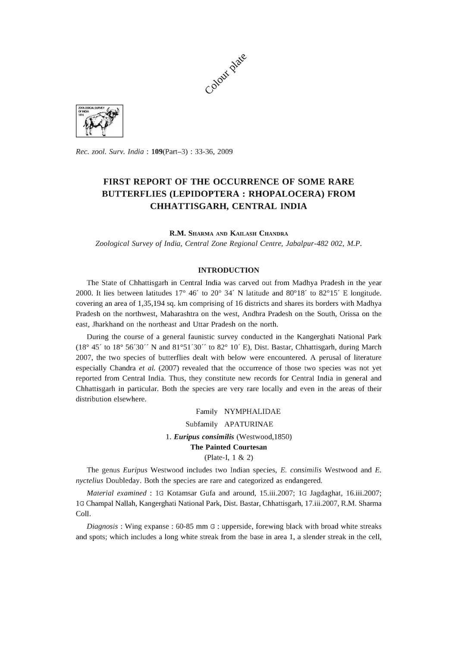



*Rec. zool. Surv. India:* l09(Part-3) : 33-36, 2009

# **FIRST REPORT OF THE OCCURRENCE OF SOME RARE BUTTERFLIES (LEPIDOPTERA: RHOPALOCERA) FROM CHHATTISGARH, CENTRAL INDIA**

**R.M.** SHARMA AND KAILASH CHANDRA

*Zoological Survey* of *India, Central Zone Regional Centre, Jabalpur-4B2 002, M.P.* 

## **INTRODUCTION**

The State of Chhattisgarh in Central India was carved out from Madhya Pradesh in the year 2000. It lies between latitudes 17° 46' to 20° 34' N latitude and 80°18' to 82°15' E longitude. covering an area of 1,35,194 sq. km comprising of 16 districts and shares its borders with Madhya Pradesh on the northwest, Maharashtra on the west, Andhra Pradesh on the South, Orissa on the east, lharkhand on the northeast and Uttar Pradesh on the north.

During the course of a general faunistic survey conducted in the Kangerghati National Park (18° 45' to 18° 56'30" N and 81° 51'30" to 82° 10' E), Dist. Bastar, Chhattisgarh, during March 2007, the two species of butterflies dealt with below were encountered. A perusal of literature especially Chandra *et al.* (2007) revealed that the occurrence of those two species was not yet reported from Central India. Thus, they constitute new records for Central India in general and Chhattisgarh in particular. Both the species are very rare locally and even in the areas of their distribution elsewhere.

> Family NYMPHALIDAE Subfamily APATURINAE *1. Euripus consimilis* (Westwood,1850) **The Painted Courtesan**  (Plate-I, 1 & 2)

The genus *Euripus* Westwood includes two Indian species, E. *consimilis* Westwood and E. *nyctelius* Doubleday. Both the species are rare and categorized as endangered.

*Material examined:* 1G Kotamsar Gufa and around, 15.iii.2007; 1G lagdaghat, 16.iii.2007; 1G Champal Nallah, Kangerghati National Park, Dist. Bastar, Chhattisgarh, 17.iii.2007, R.M. Sharma ColI.

*Diagnosis* : Wing expanse : 60-85 mm G : upperside, forewing black with broad white streaks and spots; which includes a long white streak from the base in area 1, a slender streak in the cell,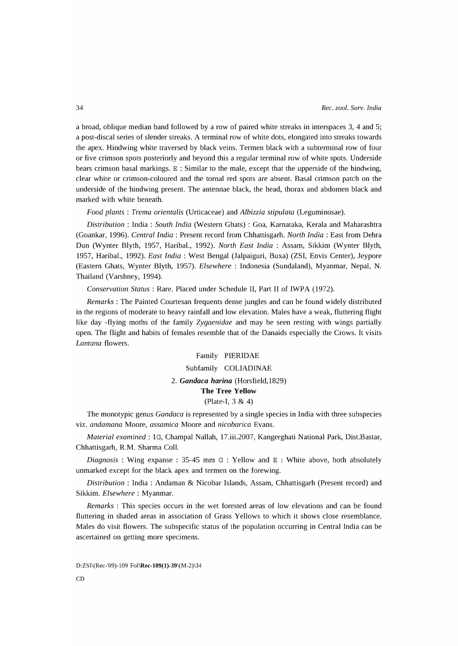a broad, oblique median band followed by a row of paired white streaks in interspaces 3, 4 and 5; a post-discal series of slender streaks. A terminal row of white dots, elongated into streaks towards the apex. Hindwing white traversed by black veins. Termen black with a subterminal row of four or five crimson spots posteriorly and beyond this a regular terminal row of white spots. Underside bears crimson basal markings.  $E : Similar$  to the male, except that the upperside of the hindwing, clear white or crimson-coloured and the tornal red spots are absent. Basal crimson patch on the underside of the hindwing present. The antennae black, the head, thorax and abdomen black and marked with white beneath.

*Food plants: Trema orientalis* (Urticaceae) and *Albizzia stipulata* (Leguminosae).

*Distribution* : India : *South India* (Western Ghats) : Goa, Karnataka, Kerala and Maharashtra (Goankar, 1996). *Central India:* Present record from Chhattisgarh. *North India:* East from Dehra Dun (Wynter Blyth, 1957, Haribal., 1992). *North East India* : Assam, Sikkim (Wynter Blyth, 1957, Haribal., 1992). *East India:* West Bengal (Jalpaiguri, Buxa) (ZSI, Envis Center), Jeypore (Eastern Ghats, Wynter Blyth, 1957). *Elsewhere:* Indonesia (Sundaland), Myanmar, Nepal, N. Thailand (Varshney, 1994).

*Conservation Status:* Rare. Placed under Schedule II, Part II of IWPA (1972).

*Remarks:* The Painted Courtesan frequents dense jungles and can be found widely distributed in the regions of moderate to heavy rainfall and low elevation. Males have a weak, fluttering flight like day -flying moths of the family *Zygaenidae* and may be seen resting with wings partially open. The flight and habits of females resemble that of the Danaids especially the Crows. It visits *Lantana* flowers.

## Family PIERIDAE Subfamily COLIADINAE *2. Gandaca harina* (Horsfield,1829) **The Tree Yellow**  (Plate-I, 3 & 4)

The monotypic genus *Gandaca* is represented by a single species in India with three subspecies viz. *andamana* Moore, *assamica* Moore and *nicobarica* Evans.

*Material examined:* 1G, Champal Nallah, 17.iii.2007, Kangerghati National Park, Dist.Bastar, Chhattisgarh, R.M. Sharma ColI.

*Diagnosis* : Wing expanse : 35-45 mm G : Yellow and E : White above, both absolutely unmarked except for the black apex and termen on the forewing.

*Distribution* : India: Andaman & Nicobar Islands, Assam, Chhattisgarh (Present record) and Sikkim. *Elsewhere:* Myanmar.

*Remarks* : This species occurs in the wet forested areas of low elevations and can be found fluttering in shaded areas in association of Grass Yellows to which it shows close resemblance. Males do visit flowers. The subspecific status of the population occurring in Central India can be ascertained on getting more specimens.

D:ZSI\(Rec-'09)-109 Fol\Rec-109(1)-39\(M-2)\34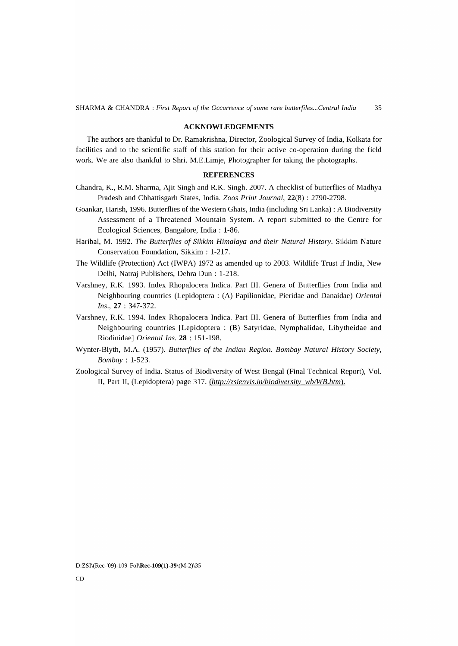#### **ACKNOWLEDGEMENTS**

The authors are thankful to Dr. Ramakrishna, Director, Zoological Survey of India, Kolkata for facilities and to the scientific staff of this station for their active co-operation during the field work. We are also thankful to Shri. M.E.Limje, Photographer for taking the photographs.

### **REFERENCES**

- Chandra, K., R.M. Sharma, Ajit Singh and R.K. Singh. 2007. A checklist of butterflies of Madhya Pradesh and Chhattisgarh States, India. *Zoos Print Journal,* 22(8) : 2790-2798.
- Goankar, Harish, 1996. Butterflies of the Western Ghats, India (including Sri Lanka) : A Biodiversity Assessment of a Threatened Mountain System. A report submitted to the Centre for Ecological Sciences, Bangalore, India : 1-86.
- Haribal, M. 1992. *The Butterflies* of *Sikkim Himalaya and their Natural History.* Sikkim Nature Conservation Foundation, Sikkim : 1-217.
- The Wildlife (Protection) Act (IWPA) 1972 as amended up to 2003. Wildlife Trust if India, New Delhi, Natraj Publishers, Dehra Dun: 1-218.
- Varshney, R.K. 1993. Index Rhopalocera Indica. Part III. Genera of Butterflies from India and Neighbouring countries (Lepidoptera: (A) Papilionidae, Pieridae and Danaidae) *Oriental Ins.,* 27 : 347-372.
- Varshney, R.K. 1994. Index Rhopalocera Indica. Part III. Genera of Butterflies from India and Neighbouring countries [Lepidoptera : (B) Satyridae, Nymphalidae, Libytheidae and Riodinidae] *Oriental Ins.* **28** : 151-198.
- Wynter-Blyth, M.A. (1957). *Butterflies* of *the Indian Region. Bombay Natural History Society, Bombay: 1-523.*
- Zoological Survey of India. Status of Biodiversity of West Bengal (Final Technical Report), Vol. II, Part II, (Lepidoptera) page 317. *(http://zsienvis.in/biodiversity\_wb/WB.htm)*.